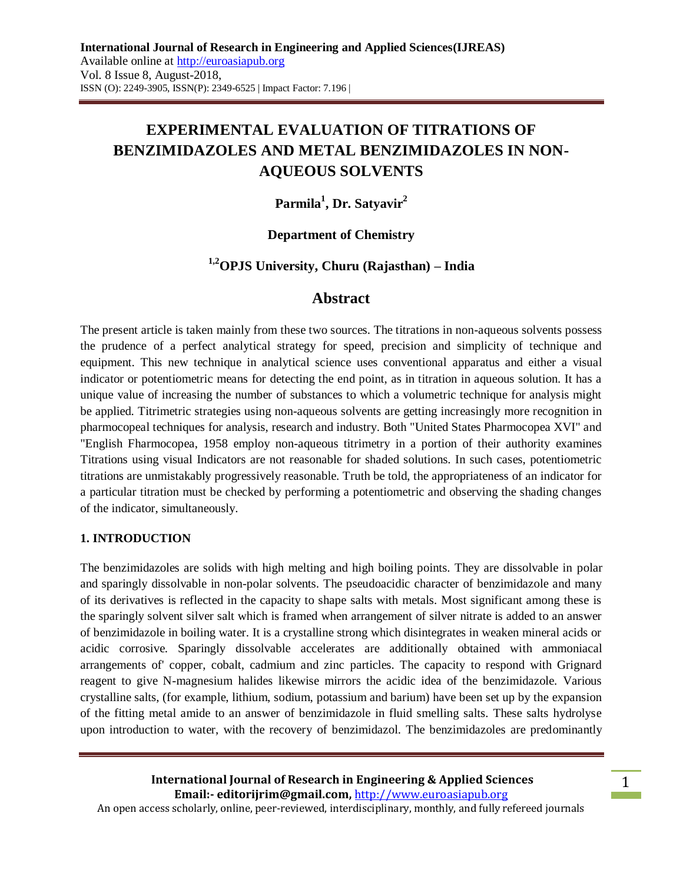# **EXPERIMENTAL EVALUATION OF TITRATIONS OF BENZIMIDAZOLES AND METAL BENZIMIDAZOLES IN NON-AQUEOUS SOLVENTS**

## **Parmila<sup>1</sup> , Dr. Satyavir<sup>2</sup>**

## **Department of Chemistry**

## **1,2OPJS University, Churu (Rajasthan) – India**

#### **Abstract**

The present article is taken mainly from these two sources. The titrations in non-aqueous solvents possess the prudence of a perfect analytical strategy for speed, precision and simplicity of technique and equipment. This new technique in analytical science uses conventional apparatus and either a visual indicator or potentiometric means for detecting the end point, as in titration in aqueous solution. It has a unique value of increasing the number of substances to which a volumetric technique for analysis might be applied. Titrimetric strategies using non-aqueous solvents are getting increasingly more recognition in pharmocopeal techniques for analysis, research and industry. Both "United States Pharmocopea XVI" and "English Fharmocopea, 1958 employ non-aqueous titrimetry in a portion of their authority examines Titrations using visual Indicators are not reasonable for shaded solutions. In such cases, potentiometric titrations are unmistakably progressively reasonable. Truth be told, the appropriateness of an indicator for a particular titration must be checked by performing a potentiometric and observing the shading changes of the indicator, simultaneously.

#### **1. INTRODUCTION**

The benzimidazoles are solids with high melting and high boiling points. They are dissolvable in polar and sparingly dissolvable in non-polar solvents. The pseudoacidic character of benzimidazole and many of its derivatives is reflected in the capacity to shape salts with metals. Most significant among these is the sparingly solvent silver salt which is framed when arrangement of silver nitrate is added to an answer of benzimidazole in boiling water. It is a crystalline strong which disintegrates in weaken mineral acids or acidic corrosive. Sparingly dissolvable accelerates are additionally obtained with ammoniacal arrangements of' copper, cobalt, cadmium and zinc particles. The capacity to respond with Grignard reagent to give N-magnesium halides likewise mirrors the acidic idea of the benzimidazole. Various crystalline salts, (for example, lithium, sodium, potassium and barium) have been set up by the expansion of the fitting metal amide to an answer of benzimidazole in fluid smelling salts. These salts hydrolyse upon introduction to water, with the recovery of benzimidazol. The benzimidazoles are predominantly

**International Journal of Research in Engineering & Applied Sciences Email:- editorijrim@gmail.com,** http://www.euroasiapub.org An open access scholarly, online, peer-reviewed, interdisciplinary, monthly, and fully refereed journals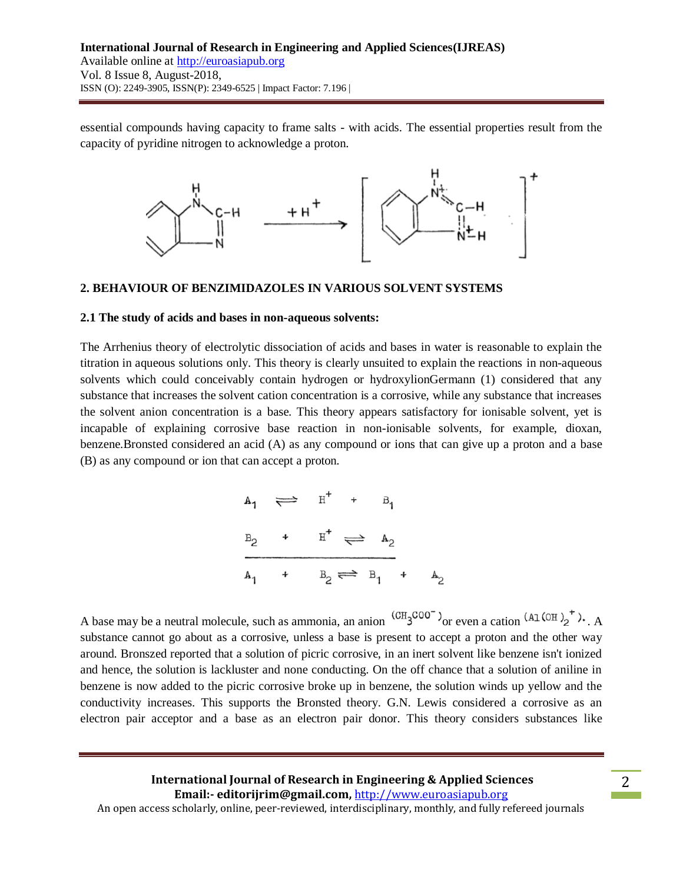essential compounds having capacity to frame salts - with acids. The essential properties result from the capacity of pyridine nitrogen to acknowledge a proton.



#### **2. BEHAVIOUR OF BENZIMIDAZOLES IN VARIOUS SOLVENT SYSTEMS**

#### **2.1 The study of acids and bases in non-aqueous solvents:**

The Arrhenius theory of electrolytic dissociation of acids and bases in water is reasonable to explain the titration in aqueous solutions only. This theory is clearly unsuited to explain the reactions in non-aqueous solvents which could conceivably contain hydrogen or hydroxylionGermann (1) considered that any substance that increases the solvent cation concentration is a corrosive, while any substance that increases the solvent anion concentration is a base. This theory appears satisfactory for ionisable solvent, yet is incapable of explaining corrosive base reaction in non-ionisable solvents, for example, dioxan, benzene.Bronsted considered an acid (A) as any compound or ions that can give up a proton and a base (B) as any compound or ion that can accept a proton.

$$
A_1 \iff H^+ + B_1
$$
  
\n
$$
B_2 + H^+ \iff A_2
$$
  
\n
$$
A_1 + B_2 \iff B_1 + A_2
$$

A base may be a neutral molecule, such as ammonia, an anion  $\frac{(CH_3COO^{-})}{}$  or even a cation  $\frac{(AL(OH)_2)^+}{}$ . A substance cannot go about as a corrosive, unless a base is present to accept a proton and the other way around. Bronszed reported that a solution of picric corrosive, in an inert solvent like benzene isn't ionized and hence, the solution is lackluster and none conducting. On the off chance that a solution of aniline in benzene is now added to the picric corrosive broke up in benzene, the solution winds up yellow and the conductivity increases. This supports the Bronsted theory. G.N. Lewis considered a corrosive as an electron pair acceptor and a base as an electron pair donor. This theory considers substances like

## **International Journal of Research in Engineering & Applied Sciences Email:- editorijrim@gmail.com,** http://www.euroasiapub.org

An open access scholarly, online, peer-reviewed, interdisciplinary, monthly, and fully refereed journals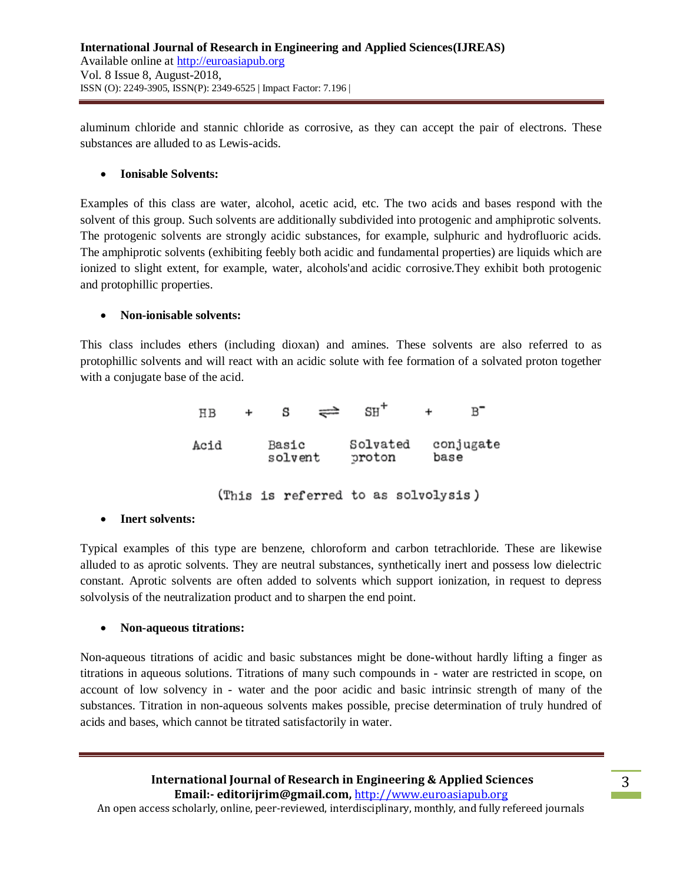aluminum chloride and stannic chloride as corrosive, as they can accept the pair of electrons. These substances are alluded to as Lewis-acids.

## **Ionisable Solvents:**

Examples of this class are water, alcohol, acetic acid, etc. The two acids and bases respond with the solvent of this group. Such solvents are additionally subdivided into protogenic and amphiprotic solvents. The protogenic solvents are strongly acidic substances, for example, sulphuric and hydrofluoric acids. The amphiprotic solvents (exhibiting feebly both acidic and fundamental properties) are liquids which are ionized to slight extent, for example, water, alcohols'and acidic corrosive.They exhibit both protogenic and protophillic properties.

#### **Non-ionisable solvents:**

This class includes ethers (including dioxan) and amines. These solvents are also referred to as protophillic solvents and will react with an acidic solute with fee formation of a solvated proton together with a conjugate base of the acid.

| H B                                 | ÷                |  | s |                    |  | $SH^+$ |                   | ÷ |  |
|-------------------------------------|------------------|--|---|--------------------|--|--------|-------------------|---|--|
| Acid                                | Basic<br>solvent |  |   | Solvated<br>proton |  |        | conjugate<br>base |   |  |
| (This is referred to as solvolysis) |                  |  |   |                    |  |        |                   |   |  |

## **Inert solvents:**

Typical examples of this type are benzene, chloroform and carbon tetrachloride. These are likewise alluded to as aprotic solvents. They are neutral substances, synthetically inert and possess low dielectric constant. Aprotic solvents are often added to solvents which support ionization, in request to depress solvolysis of the neutralization product and to sharpen the end point.

#### **Non-aqueous titrations:**

Non-aqueous titrations of acidic and basic substances might be done-without hardly lifting a finger as titrations in aqueous solutions. Titrations of many such compounds in - water are restricted in scope, on account of low solvency in - water and the poor acidic and basic intrinsic strength of many of the substances. Titration in non-aqueous solvents makes possible, precise determination of truly hundred of acids and bases, which cannot be titrated satisfactorily in water.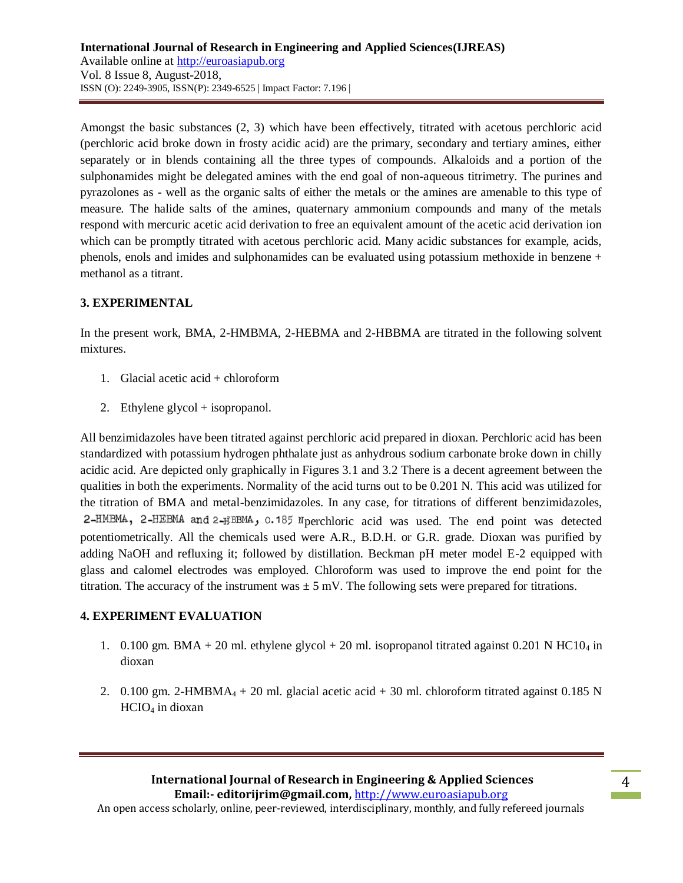Amongst the basic substances (2, 3) which have been effectively, titrated with acetous perchloric acid (perchloric acid broke down in frosty acidic acid) are the primary, secondary and tertiary amines, either separately or in blends containing all the three types of compounds. Alkaloids and a portion of the sulphonamides might be delegated amines with the end goal of non-aqueous titrimetry. The purines and pyrazolones as - well as the organic salts of either the metals or the amines are amenable to this type of measure. The halide salts of the amines, quaternary ammonium compounds and many of the metals respond with mercuric acetic acid derivation to free an equivalent amount of the acetic acid derivation ion which can be promptly titrated with acetous perchloric acid. Many acidic substances for example, acids, phenols, enols and imides and sulphonamides can be evaluated using potassium methoxide in benzene + methanol as a titrant.

## **3. EXPERIMENTAL**

In the present work, BMA, 2-HMBMA, 2-HEBMA and 2-HBBMA are titrated in the following solvent mixtures.

- 1. Glacial acetic acid + chloroform
- 2. Ethylene glycol + isopropanol.

All benzimidazoles have been titrated against perchloric acid prepared in dioxan. Perchloric acid has been standardized with potassium hydrogen phthalate just as anhydrous sodium carbonate broke down in chilly acidic acid. Are depicted only graphically in Figures 3.1 and 3.2 There is a decent agreement between the qualities in both the experiments. Normality of the acid turns out to be 0.201 N. This acid was utilized for the titration of BMA and metal-benzimidazoles. In any case, for titrations of different benzimidazoles, 2-HMBMA, 2-HEBMA and 2-HBBMA, 0.185 N perchloric acid was used. The end point was detected potentiometrically. All the chemicals used were A.R., B.D.H. or G.R. grade. Dioxan was purified by adding NaOH and refluxing it; followed by distillation. Beckman pH meter model E-2 equipped with glass and calomel electrodes was employed. Chloroform was used to improve the end point for the titration. The accuracy of the instrument was  $\pm$  5 mV. The following sets were prepared for titrations.

## **4. EXPERIMENT EVALUATION**

- 1. 0.100 gm. BMA + 20 ml. ethylene glycol + 20 ml. isopropanol titrated against 0.201 N HC10<sub>4</sub> in dioxan
- 2. 0.100 gm. 2-HMBMA<sub>4</sub> + 20 ml. glacial acetic acid + 30 ml. chloroform titrated against 0.185 N HCIO<sup>4</sup> in dioxan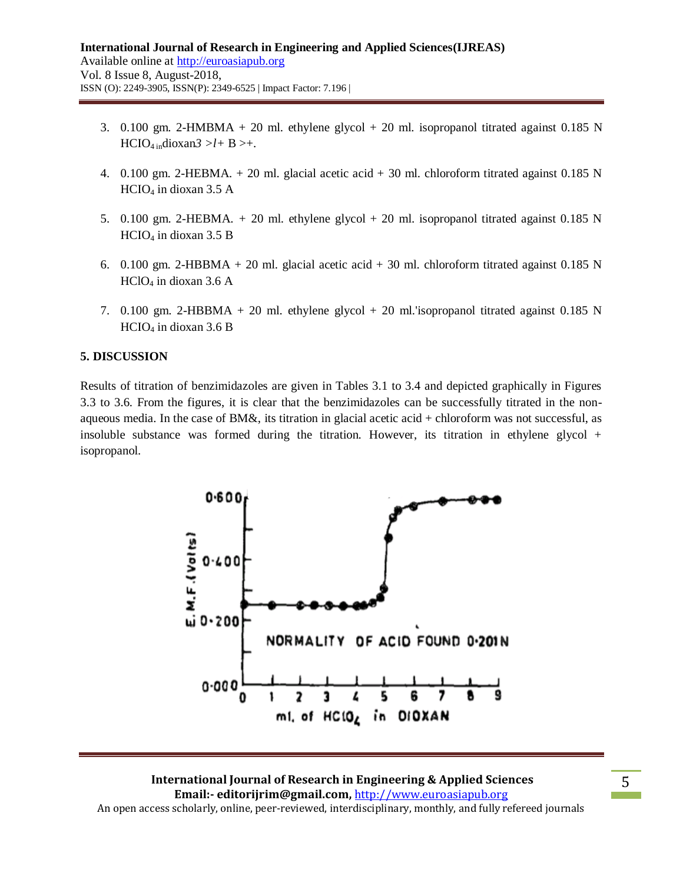- 3. 0.100 gm. 2-HMBMA + 20 ml. ethylene glycol + 20 ml. isopropanol titrated against 0.185 N  $HCIO<sub>4 in</sub> dioxan3 > l + B > +.$
- 4. 0.100 gm. 2-HEBMA.  $+$  20 ml. glacial acetic acid  $+$  30 ml. chloroform titrated against 0.185 N  $HCIO<sub>4</sub>$  in dioxan 3.5 A
- 5. 0.100 gm. 2-HEBMA. *+* 20 ml. ethylene glycol + 20 ml. isopropanol titrated against 0.185 N  $HCIO<sub>4</sub>$  in dioxan 3.5 B
- 6. 0.100 gm. 2-HBBMA + 20 ml. glacial acetic acid + 30 ml. chloroform titrated against  $0.185$  N  $HCIO<sub>4</sub>$  in dioxan 3.6 A
- 7. 0.100 gm. 2-HBBMA + 20 ml. ethylene glycol + 20 ml.'isopropanol titrated against 0.185 N  $HCIO<sub>4</sub>$  in dioxan 3.6 B

#### **5. DISCUSSION**

Results of titration of benzimidazoles are given in Tables 3.1 to 3.4 and depicted graphically in Figures 3.3 to 3.6. From the figures, it is clear that the benzimidazoles can be successfully titrated in the nonaqueous media. In the case of BM&, its titration in glacial acetic acid + chloroform was not successful, as insoluble substance was formed during the titration. However, its titration in ethylene glycol  $+$ isopropanol.



#### **International Journal of Research in Engineering & Applied Sciences Email:- editorijrim@gmail.com,** http://www.euroasiapub.org An open access scholarly, online, peer-reviewed, interdisciplinary, monthly, and fully refereed journals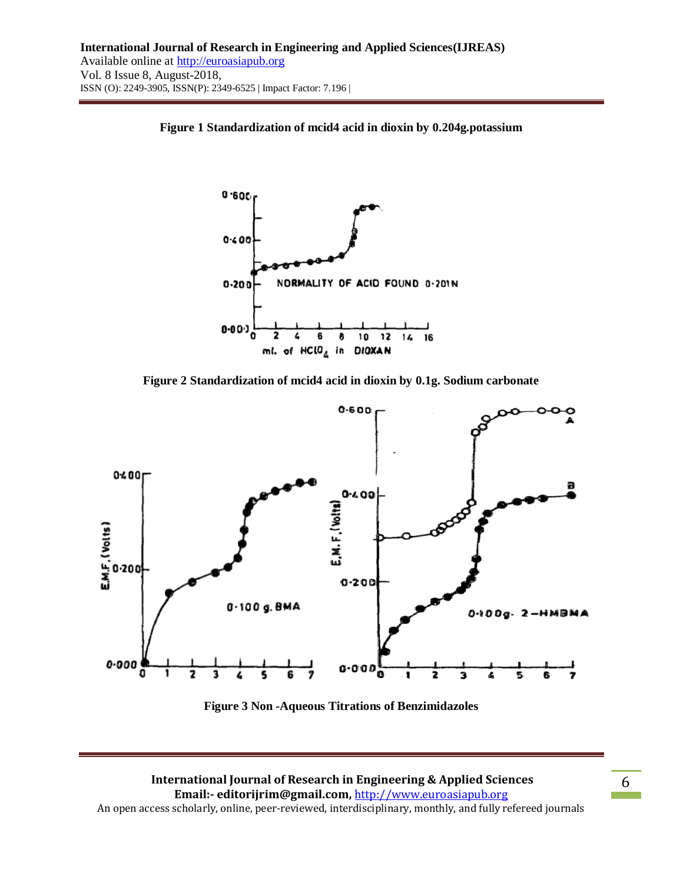

**Figure 1 Standardization of mcid4 acid in dioxin by 0.204g.potassium**





**Figure 3 Non -Aqueous Titrations of Benzimidazoles**

## **International Journal of Research in Engineering & Applied Sciences Email:- editorijrim@gmail.com,** http://www.euroasiapub.org

An open access scholarly, online, peer-reviewed, interdisciplinary, monthly, and fully refereed journals